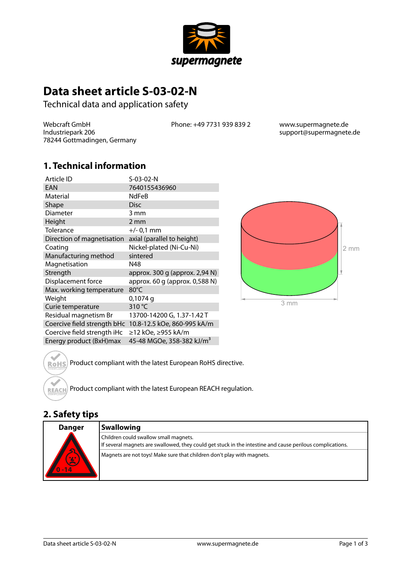

# **Data sheet article S-03-02-N**

Technical data and application safety

Webcraft GmbH Industriepark 206 78244 Gottmadingen, Germany Phone: +49 7731 939 839 2 www.supermagnete.de

support@supermagnete.de

### **1. Technical information**

| Article ID                  | S-03-02-N                      |
|-----------------------------|--------------------------------|
| <b>EAN</b>                  | 7640155436960                  |
| Material                    | <b>NdFeB</b>                   |
| Shape                       | <b>Disc</b>                    |
| Diameter                    | 3 mm                           |
| Height                      | 2 mm                           |
| Tolerance                   | $+/- 0.1$ mm                   |
| Direction of magnetisation  | axial (parallel to height)     |
| Coating                     | Nickel-plated (Ni-Cu-Ni)       |
| Manufacturing method        | sintered                       |
| Magnetisation               | N48                            |
| Strength                    | approx. 300 g (approx. 2,94 N) |
| Displacement force          | approx. 60 g (approx. 0,588 N) |
| Max. working temperature    | 80°C                           |
| Weight                      | $0,1074$ q                     |
| Curie temperature           | 310 °C                         |
| Residual magnetism Br       | 13700-14200 G, 1.37-1.42 T     |
| Coercive field strength bHc | 10.8-12.5 kOe, 860-995 kA/m    |
| Coercive field strength iHc | ≥12 kOe, ≥955 kA/m             |
| Energy product (BxH)max     |                                |



ROHS<sup>)</sup> Product compliant with the latest European RoHS directive.

Product compliant with the latest European REACH regulation.

### **2. Safety tips**

**REACH** 

| <b>Danger</b>          | <b>Swallowing</b>                                                                                                                                  |
|------------------------|----------------------------------------------------------------------------------------------------------------------------------------------------|
| <b>AV</b><br>$\lambda$ | Children could swallow small magnets.<br>If several magnets are swallowed, they could get stuck in the intestine and cause perilous complications. |
|                        | Magnets are not toys! Make sure that children don't play with magnets.                                                                             |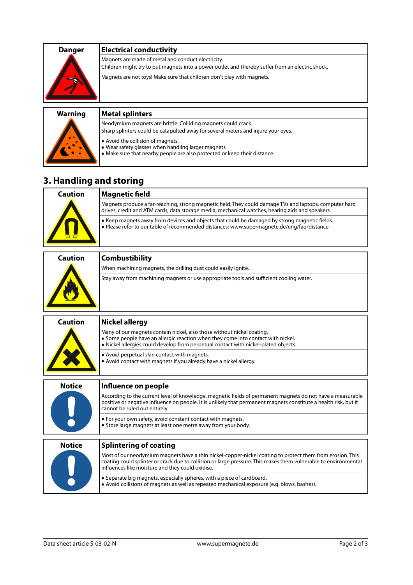| <b>Danger</b> | <b>Electrical conductivity</b>                                                                                                                         |
|---------------|--------------------------------------------------------------------------------------------------------------------------------------------------------|
|               | Magnets are made of metal and conduct electricity.<br>Children might try to put magnets into a power outlet and thereby suffer from an electric shock. |
|               | Magnets are not toys! Make sure that children don't play with magnets.                                                                                 |

| <b>Warning</b> | <b>Metal splinters</b>                                                                                                                                                |
|----------------|-----------------------------------------------------------------------------------------------------------------------------------------------------------------------|
|                | Neodymium magnets are brittle. Colliding magnets could crack.<br>Sharp splinters could be catapulted away for several meters and injure your eyes.                    |
|                | ● Avoid the collision of magnets.<br>. Wear safety glasses when handling larger magnets.<br>• Make sure that nearby people are also protected or keep their distance. |

## **3. Handling and storing**

| Caution | Magnetic field                                                                                                                                                                                              |
|---------|-------------------------------------------------------------------------------------------------------------------------------------------------------------------------------------------------------------|
|         | Magnets produce a far-reaching, strong magnetic field. They could damage TVs and laptops, computer hard<br>drives, credit and ATM cards, data storage media, mechanical watches, hearing aids and speakers. |
|         | • Keep magnets away from devices and objects that could be damaged by strong magnetic fields.<br>• Please refer to our table of recommended distances: www.supermagnete.de/eng/fag/distance                 |

| <b>Caution</b> | <b>Combustibility</b>                                                                   |
|----------------|-----------------------------------------------------------------------------------------|
|                | When machining magnets, the drilling dust could easily ignite.                          |
|                | Stay away from machining magnets or use appropriate tools and sufficient cooling water. |

| <b>Caution</b>                | <b>Nickel allergy</b>                                                                                                                                                                                                                                                            |
|-------------------------------|----------------------------------------------------------------------------------------------------------------------------------------------------------------------------------------------------------------------------------------------------------------------------------|
|                               | Many of our magnets contain nickel, also those without nickel coating.<br>• Some people have an allergic reaction when they come into contact with nickel.<br>• Nickel allergies could develop from perpetual contact with nickel-plated objects.                                |
|                               | • Avoid perpetual skin contact with magnets.<br>• Avoid contact with magnets if you already have a nickel allergy.                                                                                                                                                               |
| <b>Notice</b><br>$\mathbf{L}$ | Influence on people                                                                                                                                                                                                                                                              |
|                               | According to the current level of knowledge, magnetic fields of permanent magnets do not have a measurable<br>positive or negative influence on people. It is unlikely that permanent magnets constitute a health risk, but it<br>cannot be ruled out entirely.                  |
|                               | • For your own safety, avoid constant contact with magnets.<br>• Store large magnets at least one metre away from your body.                                                                                                                                                     |
| <b>Notice</b>                 | <b>Splintering of coating</b>                                                                                                                                                                                                                                                    |
|                               | Most of our neodymium magnets have a thin nickel-copper-nickel coating to protect them from erosion. This<br>coating could splinter or crack due to collision or large pressure. This makes them vulnerable to environmental<br>influences like moisture and they could oxidise. |
|                               | • Separate big magnets, especially spheres, with a piece of cardboard.<br>• Avoid collisions of magnets as well as repeated mechanical exposure (e.g. blows, bashes).                                                                                                            |